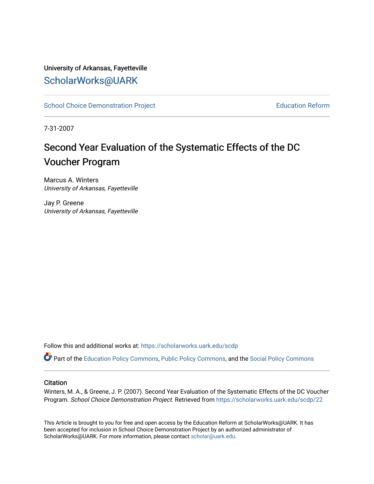## University of Arkansas, Fayetteville [ScholarWorks@UARK](https://scholarworks.uark.edu/)

[School Choice Demonstration Project](https://scholarworks.uark.edu/scdp) **Education Reform** Education Reform

7-31-2007

# Second Year Evaluation of the Systematic Effects of the DC Voucher Program

Marcus A. Winters University of Arkansas, Fayetteville

Jay P. Greene University of Arkansas, Fayetteville

Follow this and additional works at: [https://scholarworks.uark.edu/scdp](https://scholarworks.uark.edu/scdp?utm_source=scholarworks.uark.edu%2Fscdp%2F22&utm_medium=PDF&utm_campaign=PDFCoverPages) 

Part of the [Education Policy Commons](http://network.bepress.com/hgg/discipline/1026?utm_source=scholarworks.uark.edu%2Fscdp%2F22&utm_medium=PDF&utm_campaign=PDFCoverPages), [Public Policy Commons](http://network.bepress.com/hgg/discipline/400?utm_source=scholarworks.uark.edu%2Fscdp%2F22&utm_medium=PDF&utm_campaign=PDFCoverPages), and the [Social Policy Commons](http://network.bepress.com/hgg/discipline/1030?utm_source=scholarworks.uark.edu%2Fscdp%2F22&utm_medium=PDF&utm_campaign=PDFCoverPages)

#### **Citation**

Winters, M. A., & Greene, J. P. (2007). Second Year Evaluation of the Systematic Effects of the DC Voucher Program. School Choice Demonstration Project. Retrieved from [https://scholarworks.uark.edu/scdp/22](https://scholarworks.uark.edu/scdp/22?utm_source=scholarworks.uark.edu%2Fscdp%2F22&utm_medium=PDF&utm_campaign=PDFCoverPages)

This Article is brought to you for free and open access by the Education Reform at ScholarWorks@UARK. It has been accepted for inclusion in School Choice Demonstration Project by an authorized administrator of ScholarWorks@UARK. For more information, please contact [scholar@uark.edu](mailto:scholar@uark.edu).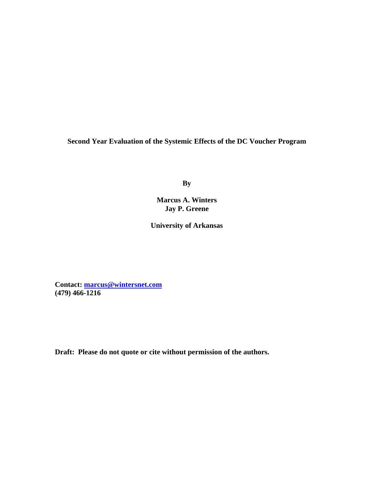**Second Year Evaluation of the Systemic Effects of the DC Voucher Program** 

**By** 

**Marcus A. Winters Jay P. Greene** 

**University of Arkansas** 

**Contact: [marcus@wintersnet.com](mailto:marcus@wintersnet.com) (479) 466-1216** 

**Draft: Please do not quote or cite without permission of the authors.**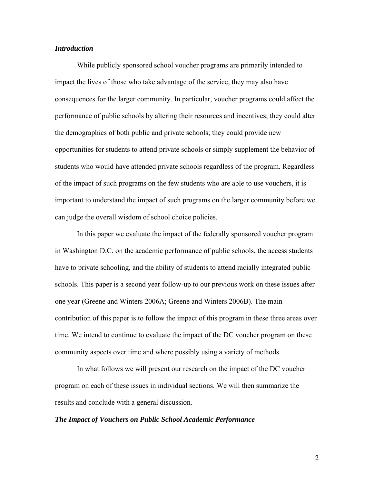#### *Introduction*

 While publicly sponsored school voucher programs are primarily intended to impact the lives of those who take advantage of the service, they may also have consequences for the larger community. In particular, voucher programs could affect the performance of public schools by altering their resources and incentives; they could alter the demographics of both public and private schools; they could provide new opportunities for students to attend private schools or simply supplement the behavior of students who would have attended private schools regardless of the program. Regardless of the impact of such programs on the few students who are able to use vouchers, it is important to understand the impact of such programs on the larger community before we can judge the overall wisdom of school choice policies.

 In this paper we evaluate the impact of the federally sponsored voucher program in Washington D.C. on the academic performance of public schools, the access students have to private schooling, and the ability of students to attend racially integrated public schools. This paper is a second year follow-up to our previous work on these issues after one year (Greene and Winters 2006A; Greene and Winters 2006B). The main contribution of this paper is to follow the impact of this program in these three areas over time. We intend to continue to evaluate the impact of the DC voucher program on these community aspects over time and where possibly using a variety of methods.

 In what follows we will present our research on the impact of the DC voucher program on each of these issues in individual sections. We will then summarize the results and conclude with a general discussion.

#### *The Impact of Vouchers on Public School Academic Performance*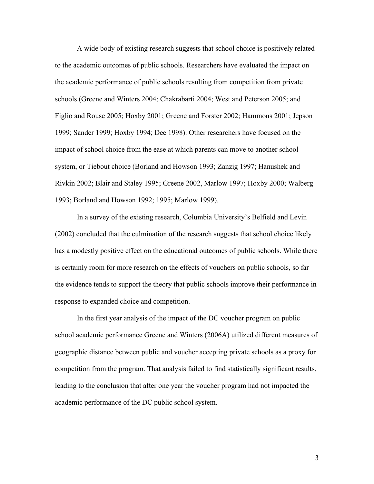A wide body of existing research suggests that school choice is positively related to the academic outcomes of public schools. Researchers have evaluated the impact on the academic performance of public schools resulting from competition from private schools (Greene and Winters 2004; Chakrabarti 2004; West and Peterson 2005; and Figlio and Rouse 2005; Hoxby 2001; Greene and Forster 2002; Hammons 2001; Jepson 1999; Sander 1999; Hoxby 1994; Dee 1998). Other researchers have focused on the impact of school choice from the ease at which parents can move to another school system, or Tiebout choice (Borland and Howson 1993; Zanzig 1997; Hanushek and Rivkin 2002; Blair and Staley 1995; Greene 2002, Marlow 1997; Hoxby 2000; Walberg 1993; Borland and Howson 1992; 1995; Marlow 1999).

In a survey of the existing research, Columbia University's Belfield and Levin (2002) concluded that the culmination of the research suggests that school choice likely has a modestly positive effect on the educational outcomes of public schools. While there is certainly room for more research on the effects of vouchers on public schools, so far the evidence tends to support the theory that public schools improve their performance in response to expanded choice and competition.

 In the first year analysis of the impact of the DC voucher program on public school academic performance Greene and Winters (2006A) utilized different measures of geographic distance between public and voucher accepting private schools as a proxy for competition from the program. That analysis failed to find statistically significant results, leading to the conclusion that after one year the voucher program had not impacted the academic performance of the DC public school system.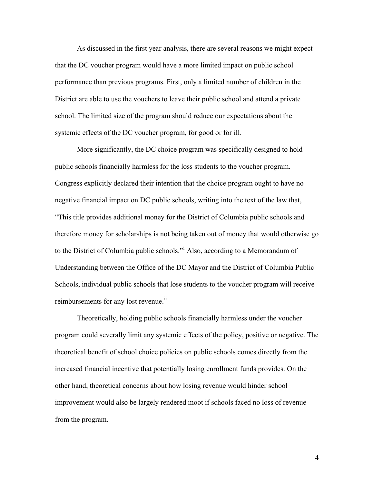As discussed in the first year analysis, there are several reasons we might expect that the DC voucher program would have a more limited impact on public school performance than previous programs. First, only a limited number of children in the District are able to use the vouchers to leave their public school and attend a private school. The limited size of the program should reduce our expectations about the systemic effects of the DC voucher program, for good or for ill.

More significantly, the DC choice program was specifically designed to hold public schools financially harmless for the loss students to the voucher program. Congress explicitly declared their intention that the choice program ought to have no negative financial impact on DC public schools, writing into the text of the law that, "This title provides additional money for the District of Columbia public schools and therefore money for scholarships is not being taken out of money that would otherwise go to the District of Columbia public schools."[i](#page-23-0) Also, according to a Memorandum of Understanding between the Office of the DC Mayor and the District of Columbia Public Schools, individual public schools that lose students to the voucher program will receive reimbursements for any lost revenue.<sup>[ii](#page-23-1)</sup>

 Theoretically, holding public schools financially harmless under the voucher program could severally limit any systemic effects of the policy, positive or negative. The theoretical benefit of school choice policies on public schools comes directly from the increased financial incentive that potentially losing enrollment funds provides. On the other hand, theoretical concerns about how losing revenue would hinder school improvement would also be largely rendered moot if schools faced no loss of revenue from the program.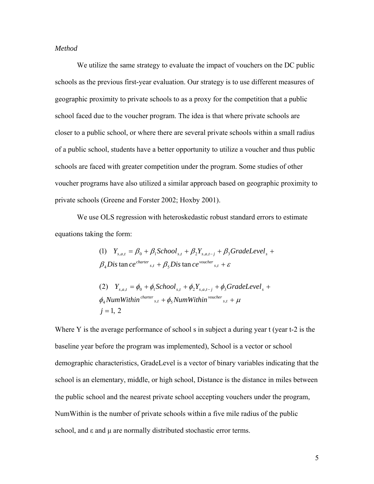#### *Method*

 We utilize the same strategy to evaluate the impact of vouchers on the DC public schools as the previous first-year evaluation. Our strategy is to use different measures of geographic proximity to private schools to as a proxy for the competition that a public school faced due to the voucher program. The idea is that where private schools are closer to a public school, or where there are several private schools within a small radius of a public school, students have a better opportunity to utilize a voucher and thus public schools are faced with greater competition under the program. Some studies of other voucher programs have also utilized a similar approach based on geographic proximity to private schools (Greene and Forster 2002; Hoxby 2001).

 We use OLS regression with heteroskedastic robust standard errors to estimate equations taking the form:

\n- (1) 
$$
Y_{s,a,t} = \beta_0 + \beta_1
$$
School  $_{s,t} + \beta_2 Y_{s,a,t-j} + \beta_3$ GradeLevel  $_s + \beta_4$  Dis tan ce <sup>character</sup>  $_{s,t} + \beta_5$  Dis tan ce <sup>voucher</sup>  $_{s,t} + \varepsilon$
\n- (2)  $Y_{s,a,t} = \phi_0 + \phi_1$ School  $_{s,t} + \phi_2 Y_{s,a,t-j} + \phi_3$ GradeLevel  $_s + \phi_4$  NumWithin <sup>character</sup>  $_{s,t} + \phi_5$  NumWithin <sup>voucher</sup>  $_{s,t} + \mu$
\n

 $j = 1, 2$ 

Where Y is the average performance of school s in subject a during year t (year t-2 is the baseline year before the program was implemented), School is a vector or school demographic characteristics, GradeLevel is a vector of binary variables indicating that the school is an elementary, middle, or high school, Distance is the distance in miles between the public school and the nearest private school accepting vouchers under the program, NumWithin is the number of private schools within a five mile radius of the public school, and ε and μ are normally distributed stochastic error terms.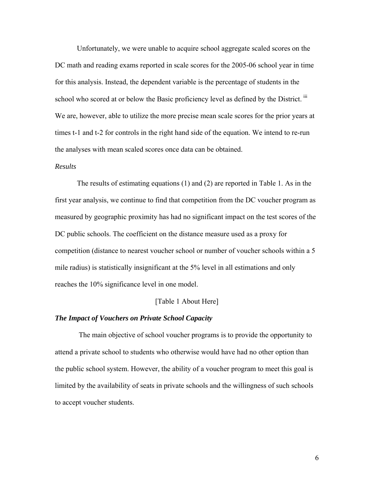Unfortunately, we were unable to acquire school aggregate scaled scores on the DC math and reading exams reported in scale scores for the 2005-06 school year in time for this analysis. Instead, the dependent variable is the percentage of students in the school who scored at or below the Basic proficiency level as defined by the District. [iii](#page-23-1) We are, however, able to utilize the more precise mean scale scores for the prior years at times t-1 and t-2 for controls in the right hand side of the equation. We intend to re-run the analyses with mean scaled scores once data can be obtained.

#### *Results*

 The results of estimating equations (1) and (2) are reported in Table 1. As in the first year analysis, we continue to find that competition from the DC voucher program as measured by geographic proximity has had no significant impact on the test scores of the DC public schools. The coefficient on the distance measure used as a proxy for competition (distance to nearest voucher school or number of voucher schools within a 5 mile radius) is statistically insignificant at the 5% level in all estimations and only reaches the 10% significance level in one model.

#### [Table 1 About Here]

#### *The Impact of Vouchers on Private School Capacity*

 The main objective of school voucher programs is to provide the opportunity to attend a private school to students who otherwise would have had no other option than the public school system. However, the ability of a voucher program to meet this goal is limited by the availability of seats in private schools and the willingness of such schools to accept voucher students.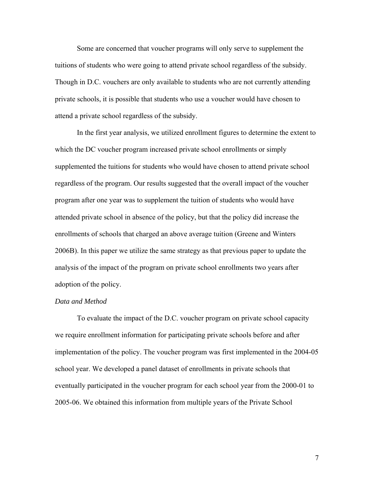Some are concerned that voucher programs will only serve to supplement the tuitions of students who were going to attend private school regardless of the subsidy. Though in D.C. vouchers are only available to students who are not currently attending private schools, it is possible that students who use a voucher would have chosen to attend a private school regardless of the subsidy.

 In the first year analysis, we utilized enrollment figures to determine the extent to which the DC voucher program increased private school enrollments or simply supplemented the tuitions for students who would have chosen to attend private school regardless of the program. Our results suggested that the overall impact of the voucher program after one year was to supplement the tuition of students who would have attended private school in absence of the policy, but that the policy did increase the enrollments of schools that charged an above average tuition (Greene and Winters 2006B). In this paper we utilize the same strategy as that previous paper to update the analysis of the impact of the program on private school enrollments two years after adoption of the policy.

#### *Data and Method*

 To evaluate the impact of the D.C. voucher program on private school capacity we require enrollment information for participating private schools before and after implementation of the policy. The voucher program was first implemented in the 2004-05 school year. We developed a panel dataset of enrollments in private schools that eventually participated in the voucher program for each school year from the 2000-01 to 2005-06. We obtained this information from multiple years of the Private School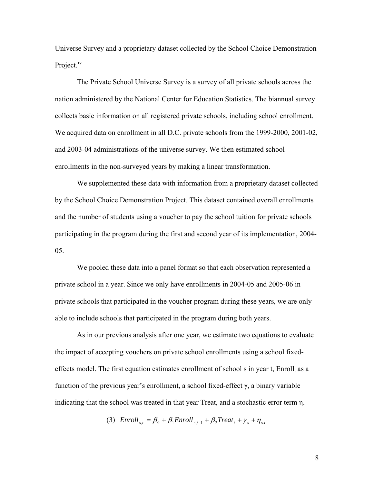Universe Survey and a proprietary dataset collected by the School Choice Demonstration Project.<sup>[iv](#page-23-1)</sup>

The Private School Universe Survey is a survey of all private schools across the nation administered by the National Center for Education Statistics. The biannual survey collects basic information on all registered private schools, including school enrollment. We acquired data on enrollment in all D.C. private schools from the 1999-2000, 2001-02, and 2003-04 administrations of the universe survey. We then estimated school enrollments in the non-surveyed years by making a linear transformation.

We supplemented these data with information from a proprietary dataset collected by the School Choice Demonstration Project. This dataset contained overall enrollments and the number of students using a voucher to pay the school tuition for private schools participating in the program during the first and second year of its implementation, 2004- 05.

 We pooled these data into a panel format so that each observation represented a private school in a year. Since we only have enrollments in 2004-05 and 2005-06 in private schools that participated in the voucher program during these years, we are only able to include schools that participated in the program during both years.

 As in our previous analysis after one year, we estimate two equations to evaluate the impact of accepting vouchers on private school enrollments using a school fixedeffects model. The first equation estimates enrollment of school s in year t, Enroll<sub>t</sub> as a function of the previous year's enrollment, a school fixed-effect  $\gamma$ , a binary variable indicating that the school was treated in that year Treat, and a stochastic error term η.

(3)  $\text{Enroll}_{st} = \beta_0 + \beta_1 \text{Enroll}_{st-1} + \beta_2 \text{Teat}_t + \gamma_s + \eta_{st}$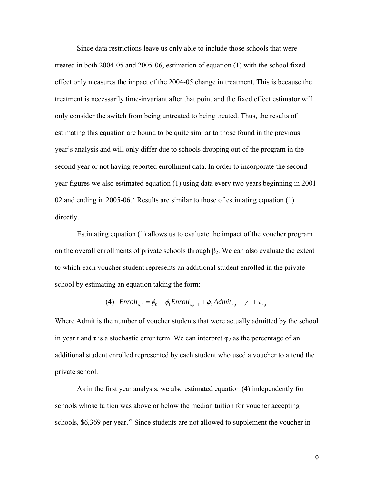Since data restrictions leave us only able to include those schools that were treated in both 2004-05 and 2005-06, estimation of equation (1) with the school fixed effect only measures the impact of the 2004-05 change in treatment. This is because the treatment is necessarily time-invariant after that point and the fixed effect estimator will only consider the switch from being untreated to being treated. Thus, the results of estimating this equation are bound to be quite similar to those found in the previous year's analysis and will only differ due to schools dropping out of the program in the second year or not having reported enrollment data. In order to incorporate the second year figures we also estimated equation (1) using data every two years beginning in 2001 02 and ending in 2005-06. <sup>[v](#page-23-1)</sup> Results are similar to those of estimating equation  $(1)$ directly.

Estimating equation (1) allows us to evaluate the impact of the voucher program on the overall enrollments of private schools through  $\beta_2$ . We can also evaluate the extent to which each voucher student represents an additional student enrolled in the private school by estimating an equation taking the form:

(4) 
$$
Enroll_{s,t} = \phi_0 + \phi_1 Enroll_{s,t-1} + \phi_2 Admit_{s,t} + \gamma_s + \tau_{s,t}
$$

Where Admit is the number of voucher students that were actually admitted by the school in year t and  $\tau$  is a stochastic error term. We can interpret  $\varphi_2$  as the percentage of an additional student enrolled represented by each student who used a voucher to attend the private school.

 As in the first year analysis, we also estimated equation (4) independently for schools whose tuition was above or below the median tuition for voucher accepting schools,  $$6,369$  per year.<sup>[vi](#page-23-1)</sup> Since students are not allowed to supplement the voucher in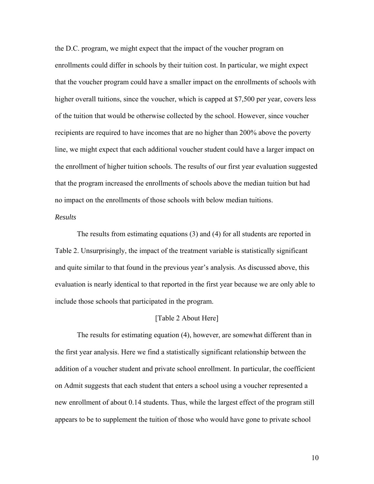the D.C. program, we might expect that the impact of the voucher program on enrollments could differ in schools by their tuition cost. In particular, we might expect that the voucher program could have a smaller impact on the enrollments of schools with higher overall tuitions, since the voucher, which is capped at \$7,500 per year, covers less of the tuition that would be otherwise collected by the school. However, since voucher recipients are required to have incomes that are no higher than 200% above the poverty line, we might expect that each additional voucher student could have a larger impact on the enrollment of higher tuition schools. The results of our first year evaluation suggested that the program increased the enrollments of schools above the median tuition but had no impact on the enrollments of those schools with below median tuitions.

#### *Results*

 The results from estimating equations (3) and (4) for all students are reported in Table 2. Unsurprisingly, the impact of the treatment variable is statistically significant and quite similar to that found in the previous year's analysis. As discussed above, this evaluation is nearly identical to that reported in the first year because we are only able to include those schools that participated in the program.

#### [Table 2 About Here]

 The results for estimating equation (4), however, are somewhat different than in the first year analysis. Here we find a statistically significant relationship between the addition of a voucher student and private school enrollment. In particular, the coefficient on Admit suggests that each student that enters a school using a voucher represented a new enrollment of about 0.14 students. Thus, while the largest effect of the program still appears to be to supplement the tuition of those who would have gone to private school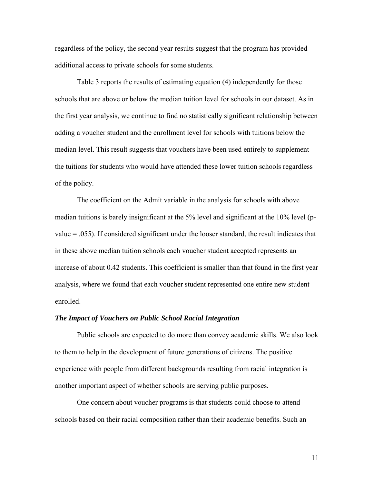regardless of the policy, the second year results suggest that the program has provided additional access to private schools for some students.

 Table 3 reports the results of estimating equation (4) independently for those schools that are above or below the median tuition level for schools in our dataset. As in the first year analysis, we continue to find no statistically significant relationship between adding a voucher student and the enrollment level for schools with tuitions below the median level. This result suggests that vouchers have been used entirely to supplement the tuitions for students who would have attended these lower tuition schools regardless of the policy.

 The coefficient on the Admit variable in the analysis for schools with above median tuitions is barely insignificant at the 5% level and significant at the 10% level (pvalue = .055). If considered significant under the looser standard, the result indicates that in these above median tuition schools each voucher student accepted represents an increase of about 0.42 students. This coefficient is smaller than that found in the first year analysis, where we found that each voucher student represented one entire new student enrolled.

#### *The Impact of Vouchers on Public School Racial Integration*

Public schools are expected to do more than convey academic skills. We also look to them to help in the development of future generations of citizens. The positive experience with people from different backgrounds resulting from racial integration is another important aspect of whether schools are serving public purposes.

 One concern about voucher programs is that students could choose to attend schools based on their racial composition rather than their academic benefits. Such an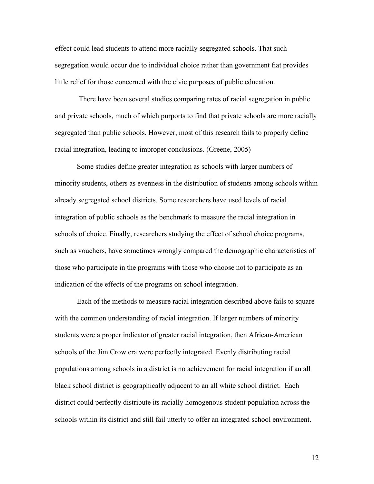effect could lead students to attend more racially segregated schools. That such segregation would occur due to individual choice rather than government fiat provides little relief for those concerned with the civic purposes of public education.

 There have been several studies comparing rates of racial segregation in public and private schools, much of which purports to find that private schools are more racially segregated than public schools. However, most of this research fails to properly define racial integration, leading to improper conclusions. (Greene, 2005)

Some studies define greater integration as schools with larger numbers of minority students, others as evenness in the distribution of students among schools within already segregated school districts. Some researchers have used levels of racial integration of public schools as the benchmark to measure the racial integration in schools of choice. Finally, researchers studying the effect of school choice programs, such as vouchers, have sometimes wrongly compared the demographic characteristics of those who participate in the programs with those who choose not to participate as an indication of the effects of the programs on school integration.

 Each of the methods to measure racial integration described above fails to square with the common understanding of racial integration. If larger numbers of minority students were a proper indicator of greater racial integration, then African-American schools of the Jim Crow era were perfectly integrated. Evenly distributing racial populations among schools in a district is no achievement for racial integration if an all black school district is geographically adjacent to an all white school district. Each district could perfectly distribute its racially homogenous student population across the schools within its district and still fail utterly to offer an integrated school environment.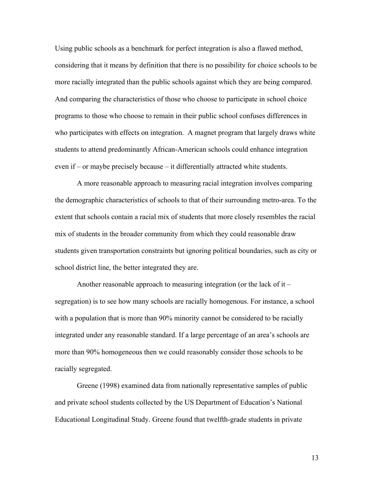Using public schools as a benchmark for perfect integration is also a flawed method, considering that it means by definition that there is no possibility for choice schools to be more racially integrated than the public schools against which they are being compared. And comparing the characteristics of those who choose to participate in school choice programs to those who choose to remain in their public school confuses differences in who participates with effects on integration. A magnet program that largely draws white students to attend predominantly African-American schools could enhance integration even if – or maybe precisely because – it differentially attracted white students.

 A more reasonable approach to measuring racial integration involves comparing the demographic characteristics of schools to that of their surrounding metro-area. To the extent that schools contain a racial mix of students that more closely resembles the racial mix of students in the broader community from which they could reasonable draw students given transportation constraints but ignoring political boundaries, such as city or school district line, the better integrated they are.

Another reasonable approach to measuring integration (or the lack of it – segregation) is to see how many schools are racially homogenous. For instance, a school with a population that is more than 90% minority cannot be considered to be racially integrated under any reasonable standard. If a large percentage of an area's schools are more than 90% homogeneous then we could reasonably consider those schools to be racially segregated.

 Greene (1998) examined data from nationally representative samples of public and private school students collected by the US Department of Education's National Educational Longitudinal Study. Greene found that twelfth-grade students in private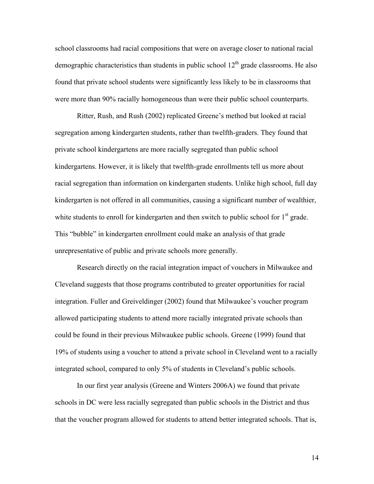school classrooms had racial compositions that were on average closer to national racial demographic characteristics than students in public school  $12<sup>th</sup>$  grade classrooms. He also found that private school students were significantly less likely to be in classrooms that were more than 90% racially homogeneous than were their public school counterparts.

 Ritter, Rush, and Rush (2002) replicated Greene's method but looked at racial segregation among kindergarten students, rather than twelfth-graders. They found that private school kindergartens are more racially segregated than public school kindergartens. However, it is likely that twelfth-grade enrollments tell us more about racial segregation than information on kindergarten students. Unlike high school, full day kindergarten is not offered in all communities, causing a significant number of wealthier, white students to enroll for kindergarten and then switch to public school for  $1<sup>st</sup>$  grade. This "bubble" in kindergarten enrollment could make an analysis of that grade unrepresentative of public and private schools more generally.

Research directly on the racial integration impact of vouchers in Milwaukee and Cleveland suggests that those programs contributed to greater opportunities for racial integration. Fuller and Greiveldinger (2002) found that Milwaukee's voucher program allowed participating students to attend more racially integrated private schools than could be found in their previous Milwaukee public schools. Greene (1999) found that 19% of students using a voucher to attend a private school in Cleveland went to a racially integrated school, compared to only 5% of students in Cleveland's public schools.

In our first year analysis (Greene and Winters 2006A) we found that private schools in DC were less racially segregated than public schools in the District and thus that the voucher program allowed for students to attend better integrated schools. That is,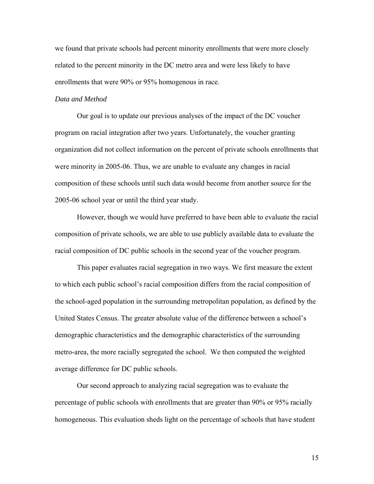we found that private schools had percent minority enrollments that were more closely related to the percent minority in the DC metro area and were less likely to have enrollments that were 90% or 95% homogenous in race.

#### *Data and Method*

 Our goal is to update our previous analyses of the impact of the DC voucher program on racial integration after two years. Unfortunately, the voucher granting organization did not collect information on the percent of private schools enrollments that were minority in 2005-06. Thus, we are unable to evaluate any changes in racial composition of these schools until such data would become from another source for the 2005-06 school year or until the third year study.

 However, though we would have preferred to have been able to evaluate the racial composition of private schools, we are able to use publicly available data to evaluate the racial composition of DC public schools in the second year of the voucher program.

 This paper evaluates racial segregation in two ways. We first measure the extent to which each public school's racial composition differs from the racial composition of the school-aged population in the surrounding metropolitan population, as defined by the United States Census. The greater absolute value of the difference between a school's demographic characteristics and the demographic characteristics of the surrounding metro-area, the more racially segregated the school. We then computed the weighted average difference for DC public schools.

 Our second approach to analyzing racial segregation was to evaluate the percentage of public schools with enrollments that are greater than 90% or 95% racially homogeneous. This evaluation sheds light on the percentage of schools that have student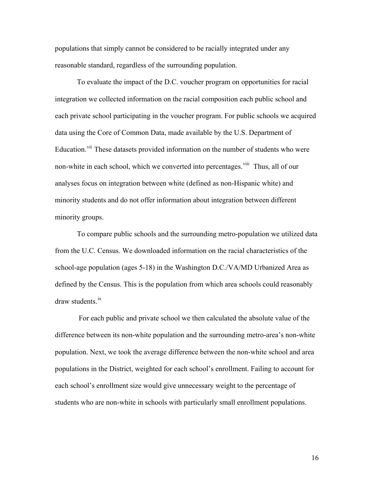populations that simply cannot be considered to be racially integrated under any reasonable standard, regardless of the surrounding population.

 To evaluate the impact of the D.C. voucher program on opportunities for racial integration we collected information on the racial composition each public school and each private school participating in the voucher program. For public schools we acquired data using the Core of Common Data, made available by the U.S. Department of Education.<sup>[vii](#page-23-1)</sup> These datasets provided information on the number of students who were non-white in each school, which we converted into percentages. <sup>[viii](#page-23-1)</sup> Thus, all of our analyses focus on integration between white (defined as non-Hispanic white) and minority students and do not offer information about integration between different minority groups.

 To compare public schools and the surrounding metro-population we utilized data from the U.C. Census. We downloaded information on the racial characteristics of the school-age population (ages 5-18) in the Washington D.C./VA/MD Urbanized Area as defined by the Census. This is the population from which area schools could reasonably draw students.<sup>[ix](#page-23-1)</sup>

 For each public and private school we then calculated the absolute value of the difference between its non-white population and the surrounding metro-area's non-white population. Next, we took the average difference between the non-white school and area populations in the District, weighted for each school's enrollment. Failing to account for each school's enrollment size would give unnecessary weight to the percentage of students who are non-white in schools with particularly small enrollment populations.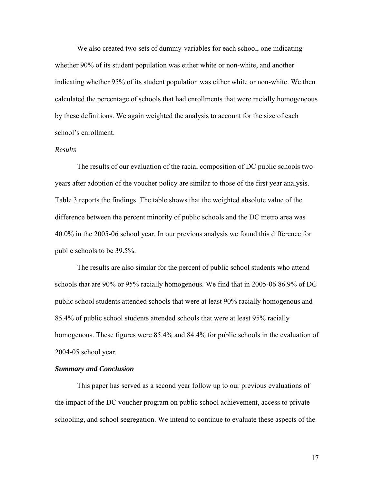We also created two sets of dummy-variables for each school, one indicating whether 90% of its student population was either white or non-white, and another indicating whether 95% of its student population was either white or non-white. We then calculated the percentage of schools that had enrollments that were racially homogeneous by these definitions. We again weighted the analysis to account for the size of each school's enrollment.

#### *Results*

 The results of our evaluation of the racial composition of DC public schools two years after adoption of the voucher policy are similar to those of the first year analysis. Table 3 reports the findings. The table shows that the weighted absolute value of the difference between the percent minority of public schools and the DC metro area was 40.0% in the 2005-06 school year. In our previous analysis we found this difference for public schools to be 39.5%.

 The results are also similar for the percent of public school students who attend schools that are 90% or 95% racially homogenous. We find that in 2005-06 86.9% of DC public school students attended schools that were at least 90% racially homogenous and 85.4% of public school students attended schools that were at least 95% racially homogenous. These figures were 85.4% and 84.4% for public schools in the evaluation of 2004-05 school year.

#### *Summary and Conclusion*

 This paper has served as a second year follow up to our previous evaluations of the impact of the DC voucher program on public school achievement, access to private schooling, and school segregation. We intend to continue to evaluate these aspects of the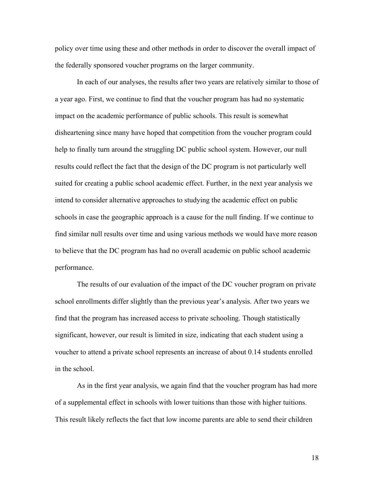policy over time using these and other methods in order to discover the overall impact of the federally sponsored voucher programs on the larger community.

 In each of our analyses, the results after two years are relatively similar to those of a year ago. First, we continue to find that the voucher program has had no systematic impact on the academic performance of public schools. This result is somewhat disheartening since many have hoped that competition from the voucher program could help to finally turn around the struggling DC public school system. However, our null results could reflect the fact that the design of the DC program is not particularly well suited for creating a public school academic effect. Further, in the next year analysis we intend to consider alternative approaches to studying the academic effect on public schools in case the geographic approach is a cause for the null finding. If we continue to find similar null results over time and using various methods we would have more reason to believe that the DC program has had no overall academic on public school academic performance.

 The results of our evaluation of the impact of the DC voucher program on private school enrollments differ slightly than the previous year's analysis. After two years we find that the program has increased access to private schooling. Though statistically significant, however, our result is limited in size, indicating that each student using a voucher to attend a private school represents an increase of about 0.14 students enrolled in the school.

As in the first year analysis, we again find that the voucher program has had more of a supplemental effect in schools with lower tuitions than those with higher tuitions. This result likely reflects the fact that low income parents are able to send their children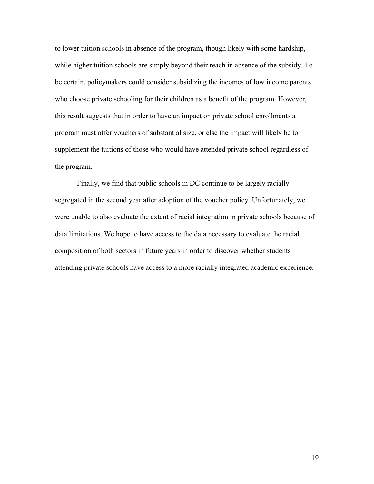to lower tuition schools in absence of the program, though likely with some hardship, while higher tuition schools are simply beyond their reach in absence of the subsidy. To be certain, policymakers could consider subsidizing the incomes of low income parents who choose private schooling for their children as a benefit of the program. However, this result suggests that in order to have an impact on private school enrollments a program must offer vouchers of substantial size, or else the impact will likely be to supplement the tuitions of those who would have attended private school regardless of the program.

 Finally, we find that public schools in DC continue to be largely racially segregated in the second year after adoption of the voucher policy. Unfortunately, we were unable to also evaluate the extent of racial integration in private schools because of data limitations. We hope to have access to the data necessary to evaluate the racial composition of both sectors in future years in order to discover whether students attending private schools have access to a more racially integrated academic experience.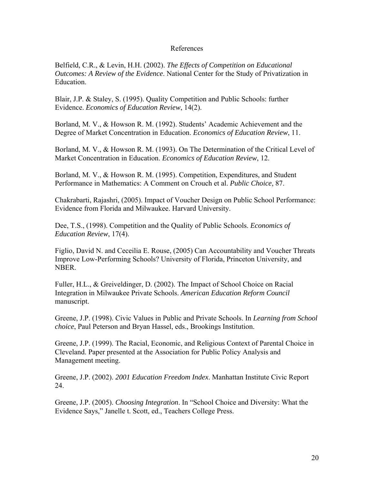#### References

Belfield, C.R., & Levin, H.H. (2002). *The Effects of Competition on Educational Outcomes: A Review of the Evidence*. National Center for the Study of Privatization in Education.

Blair, J.P. & Staley, S. (1995). Quality Competition and Public Schools: further Evidence. *Economics of Education Review*, 14(2).

Borland, M. V., & Howson R. M. (1992). Students' Academic Achievement and the Degree of Market Concentration in Education. *Economics of Education Review*, 11.

Borland, M. V., & Howson R. M. (1993). On The Determination of the Critical Level of Market Concentration in Education. *Economics of Education Review*, 12.

Borland, M. V., & Howson R. M. (1995). Competition, Expenditures, and Student Performance in Mathematics: A Comment on Crouch et al. *Public Choice*, 87.

Chakrabarti, Rajashri, (2005). Impact of Voucher Design on Public School Performance: Evidence from Florida and Milwaukee. Harvard University.

Dee, T.S., (1998). Competition and the Quality of Public Schools. *Economics of Education Review*, 17(4).

Figlio, David N. and Ceceilia E. Rouse, (2005) Can Accountability and Voucher Threats Improve Low-Performing Schools? University of Florida, Princeton University, and NBER.

Fuller, H.L., & Greiveldinger, D. (2002). The Impact of School Choice on Racial Integration in Milwaukee Private Schools. *American Education Reform Council* manuscript.

Greene, J.P. (1998). Civic Values in Public and Private Schools. In *Learning from School choice*, Paul Peterson and Bryan Hassel, eds., Brookings Institution.

Greene, J.P. (1999). The Racial, Economic, and Religious Context of Parental Choice in Cleveland. Paper presented at the Association for Public Policy Analysis and Management meeting.

Greene, J.P. (2002). *2001 Education Freedom Index*. Manhattan Institute Civic Report 24.

Greene, J.P. (2005). *Choosing Integration*. In "School Choice and Diversity: What the Evidence Says," Janelle t. Scott, ed., Teachers College Press.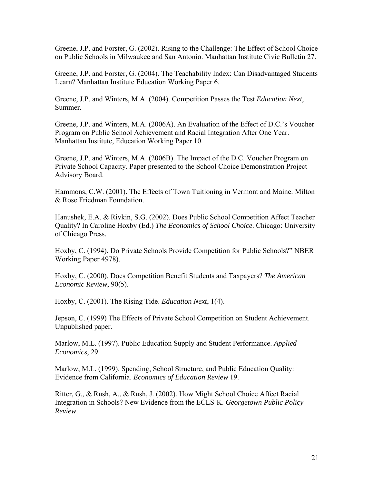Greene, J.P. and Forster, G. (2002). Rising to the Challenge: The Effect of School Choice on Public Schools in Milwaukee and San Antonio. Manhattan Institute Civic Bulletin 27.

Greene, J.P. and Forster, G. (2004). The Teachability Index: Can Disadvantaged Students Learn? Manhattan Institute Education Working Paper 6.

Greene, J.P. and Winters, M.A. (2004). Competition Passes the Test *Education Next*, Summer.

Greene, J.P. and Winters, M.A. (2006A). An Evaluation of the Effect of D.C.'s Voucher Program on Public School Achievement and Racial Integration After One Year. Manhattan Institute, Education Working Paper 10.

Greene, J.P. and Winters, M.A. (2006B). The Impact of the D.C. Voucher Program on Private School Capacity. Paper presented to the School Choice Demonstration Project Advisory Board.

Hammons, C.W. (2001). The Effects of Town Tuitioning in Vermont and Maine. Milton & Rose Friedman Foundation.

Hanushek, E.A. & Rivkin, S.G. (2002). Does Public School Competition Affect Teacher Quality? In Caroline Hoxby (Ed.) *The Economics of School Choice*. Chicago: University of Chicago Press.

Hoxby, C. (1994). Do Private Schools Provide Competition for Public Schools?" NBER Working Paper 4978).

Hoxby, C. (2000). Does Competition Benefit Students and Taxpayers? *The American Economic Review*, 90(5).

Hoxby, C. (2001). The Rising Tide. *Education Next*, 1(4).

Jepson, C. (1999) The Effects of Private School Competition on Student Achievement. Unpublished paper.

Marlow, M.L. (1997). Public Education Supply and Student Performance. *Applied Economics*, 29.

Marlow, M.L. (1999). Spending, School Structure, and Public Education Quality: Evidence from California. *Economics of Education Review* 19.

Ritter, G., & Rush, A., & Rush, J. (2002). How Might School Choice Affect Racial Integration in Schools? New Evidence from the ECLS-K. *Georgetown Public Policy Review*.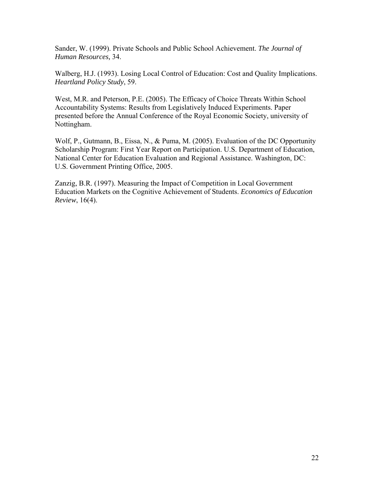Sander, W. (1999). Private Schools and Public School Achievement. *The Journal of Human Resources,* 34.

Walberg, H.J. (1993). Losing Local Control of Education: Cost and Quality Implications. *Heartland Policy Study*, 59.

West, M.R. and Peterson, P.E. (2005). The Efficacy of Choice Threats Within School Accountability Systems: Results from Legislatively Induced Experiments. Paper presented before the Annual Conference of the Royal Economic Society, university of Nottingham.

Wolf, P., Gutmann, B., Eissa, N., & Puma, M. (2005). Evaluation of the DC Opportunity Scholarship Program: First Year Report on Participation. U.S. Department of Education, National Center for Education Evaluation and Regional Assistance. Washington, DC: U.S. Government Printing Office, 2005.

Zanzig, B.R. (1997). Measuring the Impact of Competition in Local Government Education Markets on the Cognitive Achievement of Students. *Economics of Education Review*, 16(4).